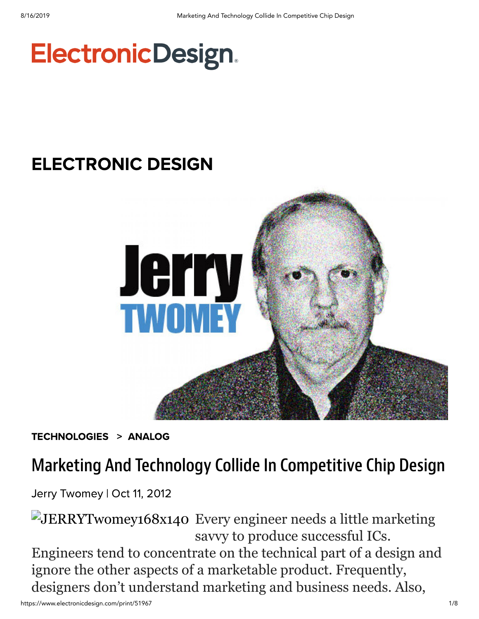# **ElectronicDesign.**

## [ELECTRONIC DESIGN](https://www.electronicdesign.com/electronic-design-0)



[TECHNOLOGIES](https://www.electronicdesign.com/technologies) > [ANALOG](https://www.electronicdesign.com/technologies/analog)

### Marketing And Technology Collide In Competitive Chip Design

Jerry [Twomey](https://www.electronicdesign.com/author/jerry-twomey) | Oct 11, 2012

JERRYTwomey168x140 Every engineer needs a little marketing savvy to produce successful ICs. Engineers tend to concentrate on the technical part of a design and ignore the other aspects of a marketable product. Frequently, designers don't understand marketing and business needs. Also,

https://www.electronicdesign.com/print/51967 1/8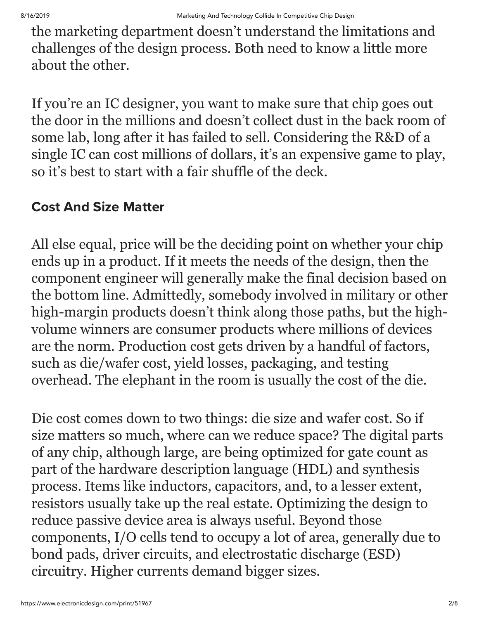the marketing department doesn't understand the limitations and challenges of the design process. Both need to know a little more about the other.

If you're an IC designer, you want to make sure that chip goes out the door in the millions and doesn't collect dust in the back room of some lab, long after it has failed to sell. Considering the R&D of a single IC can cost millions of dollars, it's an expensive game to play, so it's best to start with a fair shuffle of the deck.

#### Cost And Size Matter

All else equal, price will be the deciding point on whether your chip ends up in a product. If it meets the needs of the design, then the component engineer will generally make the final decision based on the bottom line. Admittedly, somebody involved in military or other high-margin products doesn't think along those paths, but the highvolume winners are consumer products where millions of devices are the norm. Production cost gets driven by a handful of factors, such as die/wafer cost, yield losses, packaging, and testing overhead. The elephant in the room is usually the cost of the die.

Die cost comes down to two things: die size and wafer cost. So if size matters so much, where can we reduce space? The digital parts of any chip, although large, are being optimized for gate count as part of the hardware description language (HDL) and synthesis process. Items like inductors, capacitors, and, to a lesser extent, resistors usually take up the real estate. Optimizing the design to reduce passive device area is always useful. Beyond those components, I/O cells tend to occupy a lot of area, generally due to bond pads, driver circuits, and electrostatic discharge (ESD) circuitry. Higher currents demand bigger sizes.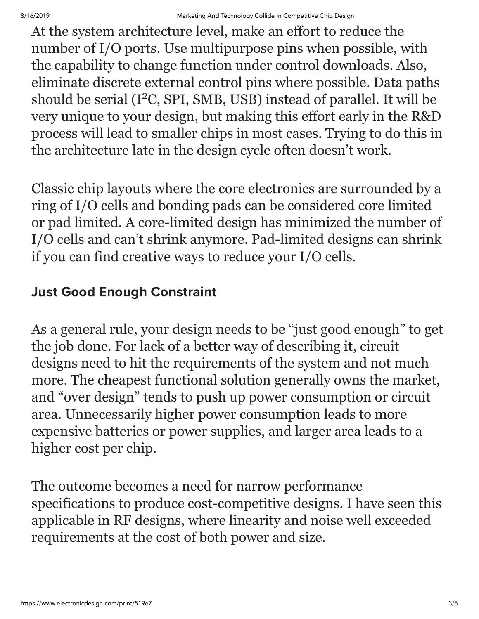At the system architecture level, make an effort to reduce the number of I/O ports. Use multipurpose pins when possible, with the capability to change function under control downloads. Also, eliminate discrete external control pins where possible. Data paths should be serial (I<sup>2</sup>C, SPI, SMB, USB) instead of parallel. It will be very unique to your design, but making this effort early in the R&D process will lead to smaller chips in most cases. Trying to do this in the architecture late in the design cycle often doesn't work.

Classic chip layouts where the core electronics are surrounded by a ring of I/O cells and bonding pads can be considered core limited or pad limited. A core-limited design has minimized the number of I/O cells and can't shrink anymore. Pad-limited designs can shrink if you can find creative ways to reduce your I/O cells.

#### Just Good Enough Constraint

As a general rule, your design needs to be "just good enough" to get the job done. For lack of a better way of describing it, circuit designs need to hit the requirements of the system and not much more. The cheapest functional solution generally owns the market, and "over design" tends to push up power consumption or circuit area. Unnecessarily higher power consumption leads to more expensive batteries or power supplies, and larger area leads to a higher cost per chip.

The outcome becomes a need for narrow performance specifications to produce cost-competitive designs. I have seen this applicable in RF designs, where linearity and noise well exceeded requirements at the cost of both power and size.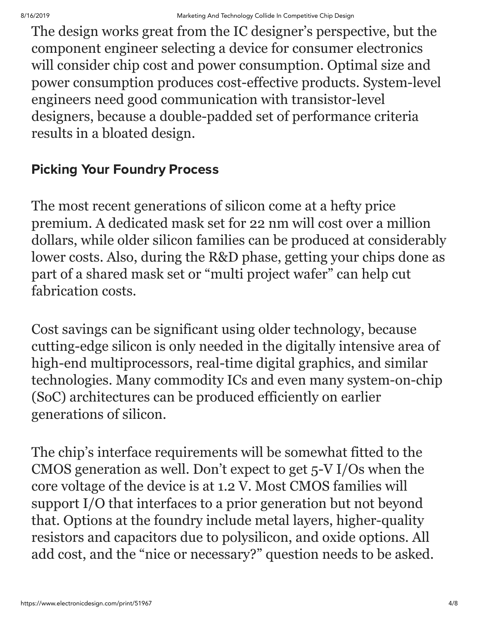The design works great from the IC designer's perspective, but the component engineer selecting a device for consumer electronics will consider chip cost and power consumption. Optimal size and power consumption produces cost-effective products. System-level engineers need good communication with transistor-level designers, because a double-padded set of performance criteria results in a bloated design.

#### Picking Your Foundry Process

The most recent generations of silicon come at a hefty price premium. A dedicated mask set for 22 nm will cost over a million dollars, while older silicon families can be produced at considerably lower costs. Also, during the R&D phase, getting your chips done as part of a shared mask set or "multi project wafer" can help cut fabrication costs.

Cost savings can be significant using older technology, because cutting-edge silicon is only needed in the digitally intensive area of high-end multiprocessors, real-time digital graphics, and similar technologies. Many commodity ICs and even many system-on-chip (SoC) architectures can be produced efficiently on earlier generations of silicon.

The chip's interface requirements will be somewhat fitted to the CMOS generation as well. Don't expect to get 5-V I/Os when the core voltage of the device is at 1.2 V. Most CMOS families will support I/O that interfaces to a prior generation but not beyond that. Options at the foundry include metal layers, higher-quality resistors and capacitors due to polysilicon, and oxide options. All add cost, and the "nice or necessary?" question needs to be asked.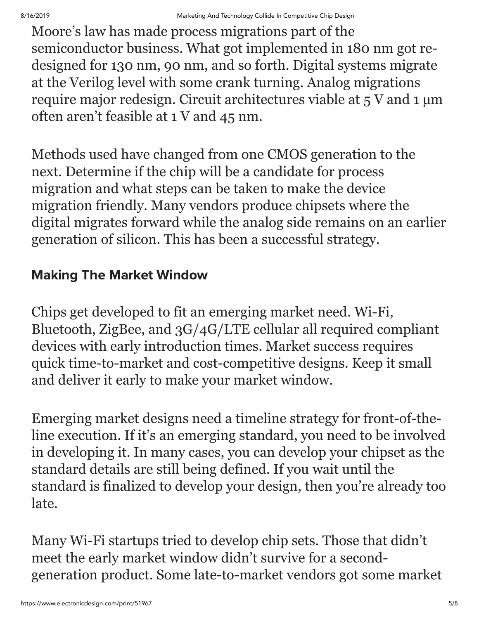Moore's law has made process migrations part of the semiconductor business. What got implemented in 180 nm got redesigned for 130 nm, 90 nm, and so forth. Digital systems migrate at the Verilog level with some crank turning. Analog migrations require major redesign. Circuit architectures viable at 5 V and 1 µm often aren't feasible at 1 V and 45 nm.

Methods used have changed from one CMOS generation to the next. Determine if the chip will be a candidate for process migration and what steps can be taken to make the device migration friendly. Many vendors produce chipsets where the digital migrates forward while the analog side remains on an earlier generation of silicon. This has been a successful strategy.

#### Making The Market Window

Chips get developed to fit an emerging market need. Wi-Fi, Bluetooth, ZigBee, and 3G/4G/LTE cellular all required compliant devices with early introduction times. Market success requires quick time-to-market and cost-competitive designs. Keep it small and deliver it early to make your market window.

Emerging market designs need a timeline strategy for front-of-theline execution. If it's an emerging standard, you need to be involved in developing it. In many cases, you can develop your chipset as the standard details are still being defined. If you wait until the standard is finalized to develop your design, then you're already too late.

Many Wi-Fi startups tried to develop chip sets. Those that didn't meet the early market window didn't survive for a secondgeneration product. Some late-to-market vendors got some market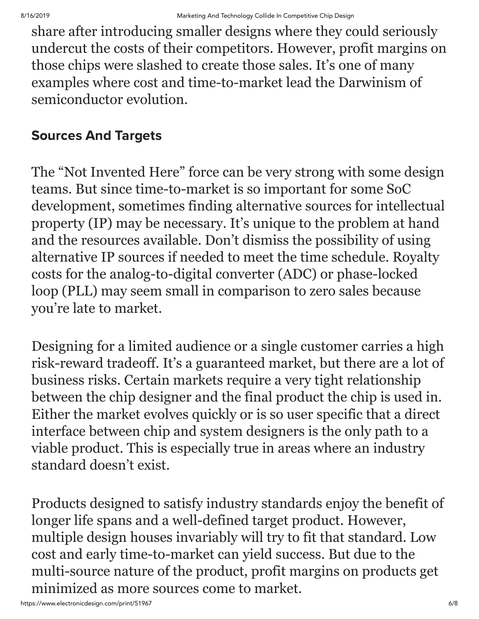share after introducing smaller designs where they could seriously undercut the costs of their competitors. However, profit margins on those chips were slashed to create those sales. It's one of many examples where cost and time-to-market lead the Darwinism of semiconductor evolution.

#### Sources And Targets

The "Not Invented Here" force can be very strong with some design teams. But since time-to-market is so important for some SoC development, sometimes finding alternative sources for intellectual property (IP) may be necessary. It's unique to the problem at hand and the resources available. Don't dismiss the possibility of using alternative IP sources if needed to meet the time schedule. Royalty costs for the analog-to-digital converter (ADC) or phase-locked loop (PLL) may seem small in comparison to zero sales because you're late to market.

Designing for a limited audience or a single customer carries a high risk-reward tradeoff. It's a guaranteed market, but there are a lot of business risks. Certain markets require a very tight relationship between the chip designer and the final product the chip is used in. Either the market evolves quickly or is so user specific that a direct interface between chip and system designers is the only path to a viable product. This is especially true in areas where an industry standard doesn't exist.

Products designed to satisfy industry standards enjoy the benefit of longer life spans and a well-defined target product. However, multiple design houses invariably will try to fit that standard. Low cost and early time-to-market can yield success. But due to the multi-source nature of the product, profit margins on products get minimized as more sources come to market.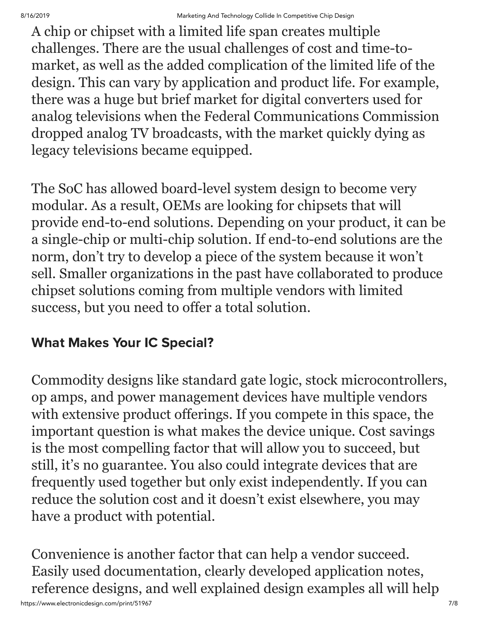A chip or chipset with a limited life span creates multiple challenges. There are the usual challenges of cost and time-tomarket, as well as the added complication of the limited life of the design. This can vary by application and product life. For example, there was a huge but brief market for digital converters used for analog televisions when the Federal Communications Commission dropped analog TV broadcasts, with the market quickly dying as legacy televisions became equipped.

The SoC has allowed board-level system design to become very modular. As a result, OEMs are looking for chipsets that will provide end-to-end solutions. Depending on your product, it can be a single-chip or multi-chip solution. If end-to-end solutions are the norm, don't try to develop a piece of the system because it won't sell. Smaller organizations in the past have collaborated to produce chipset solutions coming from multiple vendors with limited success, but you need to offer a total solution.

#### What Makes Your IC Special?

Commodity designs like standard gate logic, stock microcontrollers, op amps, and power management devices have multiple vendors with extensive product offerings. If you compete in this space, the important question is what makes the device unique. Cost savings is the most compelling factor that will allow you to succeed, but still, it's no guarantee. You also could integrate devices that are frequently used together but only exist independently. If you can reduce the solution cost and it doesn't exist elsewhere, you may have a product with potential.

Convenience is another factor that can help a vendor succeed. Easily used documentation, clearly developed application notes, reference designs, and well explained design examples all will help